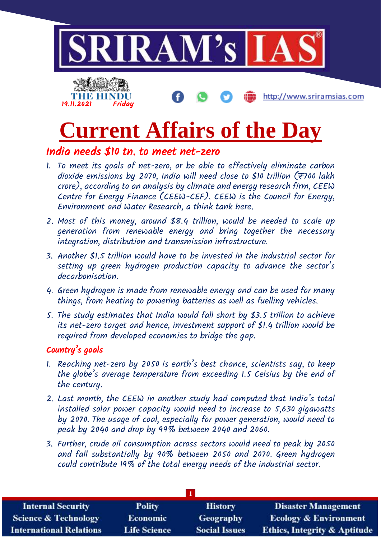

# **Current Affairs of the Day**

#### India needs \$10 tn. to meet net-zero

- 1. To meet its goals of net-zero, or be able to effectively eliminate carbon dioxide emissions by 2070, India will need close to \$10 trillion ( $\mp$ 700 lakh crore), according to an analysis by climate and energy research firm, CEEW Centre for Energy Finance (CEEW-CEF). CEEW is the Council for Energy, Environment and Water Research, a think tank here.
- 2. Most of this money, around \$8.4 trillion, would be needed to scale up generation from renewable energy and bring together the necessary integration, distribution and transmission infrastructure.
- 3. Another \$1.5 trillion would have to be invested in the industrial sector for setting up green hydrogen production capacity to advance the sector's decarbonisation.
- 4. Green hydrogen is made from renewable energy and can be used for many things, from heating to powering batteries as well as fuelling vehicles.
- 5. The study estimates that India would fall short by \$3.5 trillion to achieve its net-zero target and hence, investment support of \$1.4 trillion would be required from developed economies to bridge the gap.

#### Country's goals

- 1. Reaching net-zero by 2050 is earth's best chance, scientists say, to keep the globe's average temperature from exceeding 1.5 Celsius by the end of the century.
- 2. Last month, the CEEW in another study had computed that India's total installed solar power capacity would need to increase to 5,630 gigawatts by 2070. The usage of coal, especially for power generation, would need to peak by 2040 and drop by 99% between 2040 and 2060.
- 3. Further, crude oil consumption across sectors would need to peak by 2050 and fall substantially by 90% between 2050 and 2070. Green hydrogen could contribute 19% of the total energy needs of the industrial sector.

| <b>Internal Security</b>        | <b>Polity</b>       | <b>History</b>       | <b>Disaster Management</b>              |
|---------------------------------|---------------------|----------------------|-----------------------------------------|
| <b>Science &amp; Technology</b> | <b>Economic</b>     | <b>Geography</b>     | <b>Ecology &amp; Environment</b>        |
| <b>International Relations</b>  | <b>Life Science</b> | <b>Social Issues</b> | <b>Ethics, Integrity &amp; Aptitude</b> |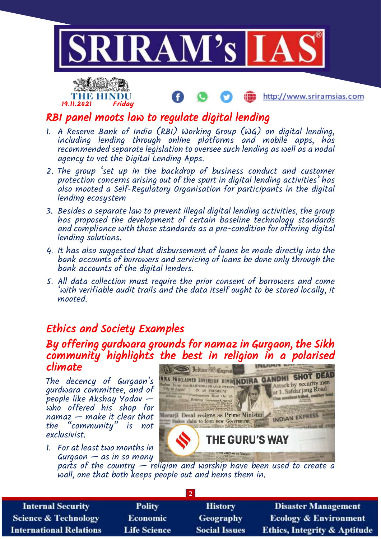



http://www.sriramsias.com

#### RBI panel moots law to regulate digital lending

- 1. A Reserve Bank of India (RBI) Working Group (WG) on digital lending, including lending through online platforms and mobile apps, has recommended separate legislation to oversee such lending as well as a nodal agency to vet the Digital Lending Apps.
- 2. The group 'set up in the backdrop of business conduct and customer protection concerns arising out of the spurt in digital lending activities' has also mooted a Self-Regulatory Organisation for participants in the digital lending ecosystem
- 3. Besides a separate law to prevent illegal digital lending activities, the group has proposed the development of certain baseline technology standards and compliance with those standards as a pre-condition for offering digital lending solutions.
- 4. It has also suggested that disbursement of loans be made directly into the bank accounts of borrowers and servicing of loans be done only through the bank accounts of the digital lenders.
- 5. All data collection must require the prior consent of borrowers and come 'with verifiable audit trails and the data itself ought to be stored locally, it mooted.

### Ethics and Society Examples

#### By offering gurdwara grounds for namaz in Gurgaon, the Sikh community highlights the best in religion in a polarised climate

The decency of Gurgaon's gurdwara committee, and of people like Akshay Yadav who offered his shop for  $n$ amaz  $-$  make it clear that the "community" is not exclusivist.

1. For at least two months in  $Gurgaon - as$  in so many



parts of the country — religion and worship have been used to create a wall, one that both keeps people out and hems them in.

| <b>Internal Security</b>        | <b>Polity</b>       | <b>History</b>       | <b>Disaster Management</b>              |
|---------------------------------|---------------------|----------------------|-----------------------------------------|
| <b>Science &amp; Technology</b> | <b>Economic</b>     | <b>Geography</b>     | <b>Ecology &amp; Environment</b>        |
| <b>International Relations</b>  | <b>Life Science</b> | <b>Social Issues</b> | <b>Ethics, Integrity &amp; Aptitude</b> |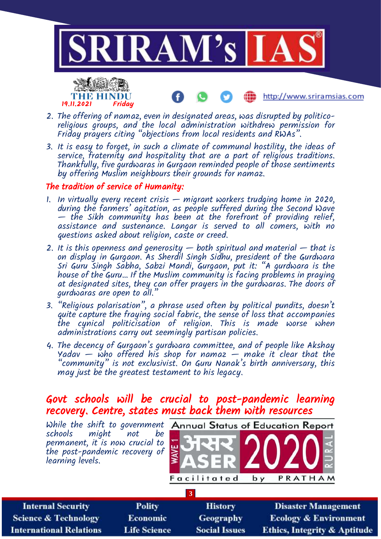

Œ

http://www.sriramsias.com



- 2. The offering of namaz, even in designated areas, was disrupted by politicoreligious groups, and the local administration withdrew permission for Friday prayers citing "objections from local residents and RWAs".
- 3. It is easy to forget, in such a climate of communal hostility, the ideas of service, fraternity and hospitality that are a part of religious traditions. Thankfully, five gurdwaras in Gurgaon reminded people of those sentiments by offering Muslim neighbours their grounds for namaz.

#### The tradition of service of Humanity:

- 1. In virtually every recent crisis migrant workers trudging home in 2020, during the farmers' agitation, as people suffered during the Second Wave — the Sikh community has been at the forefront of providing relief, assistance and sustenance. Langar is served to all comers, with no questions asked about religion, caste or creed.
- 2. It is this openness and generosity  $-$  both spiritual and material  $-$  that is on display in Gurgaon. As Sherdil Singh Sidhu, president of the Gurdwara Sri Guru Singh Sabha, Sabzi Mandi, Gurgaon, put it: "A gurdwara is the house of the Guru… If the Muslim community is facing problems in praying at designated sites, they can offer prayers in the gurdwaras. The doors of gurdwaras are open to all."
- 3. "Religious polarisation", a phrase used often by political pundits, doesn't quite capture the fraying social fabric, the sense of loss that accompanies the cynical politicisation of religion. This is made worse when administrations carry out seemingly partisan policies.
- 4. The decency of Gurgaon's gurdwara committee, and of people like Akshay Yadav  $-$  who offered his shop for namaz  $-$  make it clear that the "community" is not exclusivist. On Guru Nanak's birth anniversary, this may just be the greatest testament to his legacy.

#### Govt schools will be crucial to post-pandemic learning recovery. Centre, states must back them with resources

| While the shift to government<br>schools<br>might<br>permanent, it is now crucial to<br>the post-pandemic recovery of<br>learning levels. | not<br>be     | Facilitated          | <b>Annual Status of Education Report</b><br>PRATHAM<br>b y |
|-------------------------------------------------------------------------------------------------------------------------------------------|---------------|----------------------|------------------------------------------------------------|
|                                                                                                                                           |               | $\overline{3}$       |                                                            |
| <b>Internal Security</b>                                                                                                                  | <b>Polity</b> | <b>History</b>       | <b>Disaster Management</b>                                 |
| cience & Technology                                                                                                                       | Economic      | Geography            | <b>Ecology &amp; Environment</b>                           |
| ternational Relations                                                                                                                     | Life Science  | <b>Social Issues</b> | Ethics. Integrity & Antitude                               |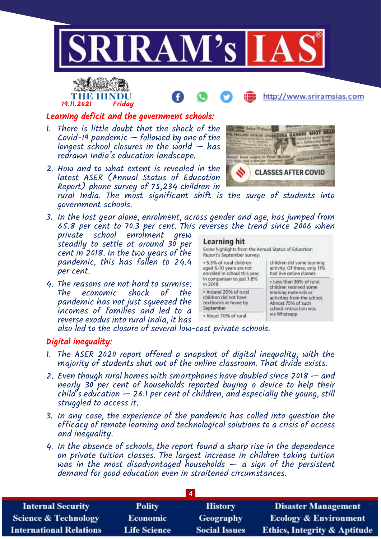



## http://www.sriramsias.com

#### Learning deficit and the government schools:

- 1. There is little doubt that the shock of the Covid-19 pandemic — followed by one of the longest school closures in the world  $-$  has redrawn India's education landscape.
- 2. How and to what extent is revealed in the latest ASER (Annual Status of Education Report) phone survey of 75,234 children in

rural India. The most significant shift is the surge of students into government schools.

- 3. In the last year alone, enrolment, across gender and age, has jumped from 65.8 per cent to 70.3 per cent. This reverses the trend since 2006 when
- private school enrolment grew steadily to settle at around 30 per cent in 2018. In the two years of the pandemic, this has fallen to 24.4 per cent.
- 4. The reasons are not hard to surmise: The economic pandemic has not just squeezed the incomes of families and led to a reverse exodus into rural India, it has



#### Learning hit Some highlights from the Annual Status of Education Report's September survey: . 5.3% of rural children children did some learning aged 6-10 years are not activity. Of these, only 11% enrolled in school this year, had live online classes in comparison to just 1.8% \* Less than 36% of rural in 2018 children received some \* Around 20% of rural learning materials or children did not have activities from the school. textbooks at home by Almost 75% of such September school interaction was via Whatsapp - About 70% of rural

also led to the closure of several low-cost private schools.

#### Digital inequality:

- 1. The ASER 2020 report offered a snapshot of digital inequality, with the majority of students shut out of the online classroom. That divide exists.
- 2. Even though rural homes with smartphones have doubled since 2018 and nearly 30 per cent of households reported buying a device to help their child's education — 26.1 per cent of children, and especially the young, still struggled to access it.
- 3. In any case, the experience of the pandemic has called into question the efficacy of remote learning and technological solutions to a crisis of access and inequality.
- 4. In the absence of schools, the report found a sharp rise in the dependence on private tuition classes. The largest increase in children taking tuition was in the most disadvantaged households  $-$  a sign of the persistent demand for good education even in straitened circumstances.

| <b>Internal Security</b>        | <b>Polity</b>       | <b>History</b>       | <b>Disaster Management</b>              |
|---------------------------------|---------------------|----------------------|-----------------------------------------|
| <b>Science &amp; Technology</b> | <b>Economic</b>     | <b>Geography</b>     | <b>Ecology &amp; Environment</b>        |
| <b>International Relations</b>  | <b>Life Science</b> | <b>Social Issues</b> | <b>Ethics, Integrity &amp; Aptitude</b> |